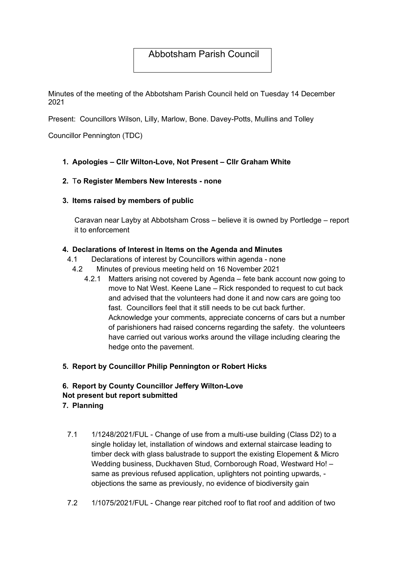# Abbotsham Parish Council

Minutes of the meeting of the Abbotsham Parish Council held on Tuesday 14 December 2021

Present: Councillors Wilson, Lilly, Marlow, Bone. Davey-Potts, Mullins and Tolley

Councillor Pennington (TDC)

1. Apologies – Cllr Wilton-Love, Not Present – Cllr Graham White

#### 2. To Register Members New Interests - none

3. Items raised by members of public

Caravan near Layby at Abbotsham Cross – believe it is owned by Portledge – report it to enforcement

#### 4. Declarations of Interest in Items on the Agenda and Minutes

- 4.1 Declarations of interest by Councillors within agenda none
- 4.2 Minutes of previous meeting held on 16 November 2021
	- 4.2.1 Matters arising not covered by Agenda fete bank account now going to move to Nat West. Keene Lane – Rick responded to request to cut back and advised that the volunteers had done it and now cars are going too fast. Councillors feel that it still needs to be cut back further. Acknowledge your comments, appreciate concerns of cars but a number of parishioners had raised concerns regarding the safety. the volunteers have carried out various works around the village including clearing the hedge onto the pavement.

### 5. Report by Councillor Philip Pennington or Robert Hicks

# 6. Report by County Councillor Jeffery Wilton-Love Not present but report submitted

- 7. Planning
	- 7.1 1/1248/2021/FUL Change of use from a multi-use building (Class D2) to a single holiday let, installation of windows and external staircase leading to timber deck with glass balustrade to support the existing Elopement & Micro Wedding business, Duckhaven Stud, Cornborough Road, Westward Ho! – same as previous refused application, uplighters not pointing upwards, objections the same as previously, no evidence of biodiversity gain
	- 7.2 1/1075/2021/FUL Change rear pitched roof to flat roof and addition of two